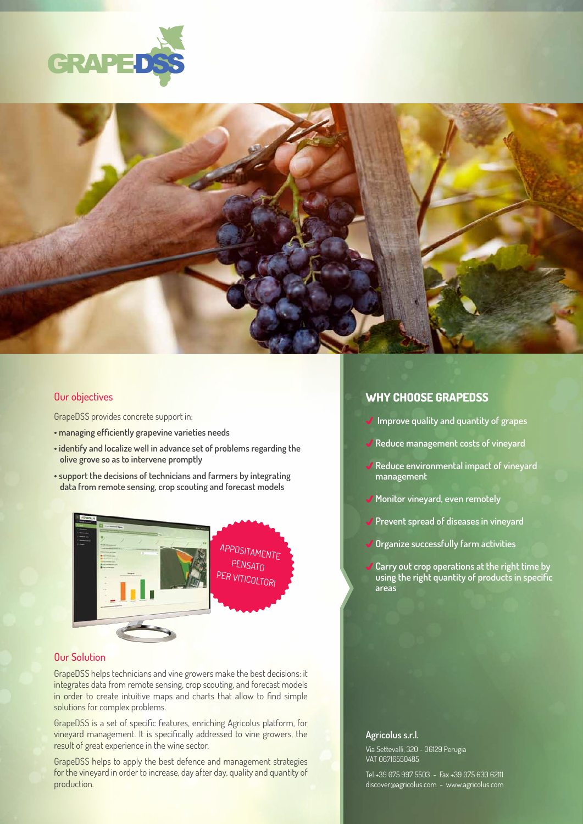



#### Our objectives

GrapeDSS provides concrete support in:

- **managing efficiently grapevine varieties needs**
- **identify and localize well in advance set of problems regarding the olive grove so as to intervene promptly**
- **support the decisions of technicians and farmers by integrating data from remote sensing, crop scouting and forecast models**



#### Our Solution

GrapeDSS helps technicians and vine growers make the best decisions: it integrates data from remote sensing, crop scouting, and forecast models in order to create intuitive maps and charts that allow to find simple solutions for complex problems.

GrapeDSS is a set of specific features, enriching Agricolus platform, for vineyard management. It is specifically addressed to vine growers, the result of great experience in the wine sector.

GrapeDSS helps to apply the best defence and management strategies for the vineyard in order to increase, day after day, quality and quantity of production.

# **WHY CHOOSE GRAPEDSS**

- **Improve quality and quantity of grapes**
- **Reduce management costs of vineyard**
- **Reduce environmental impact of vineyard management**
- **Monitor vineyard, even remotely**
- **Prevent spread of diseases in vineyard**
- **Organize successfully farm activities**
- **Carry out crop operations at the right time by using the right quantity of products in specific areas**

#### **Agricolus s.r.l.**

Via Settevalli, 320 - 06129 Perugia VAT 06716550485

Tel +39 075 997 5503 - Fax +39 075 630 62111 discover@agricolus.com - www.agricolus.com